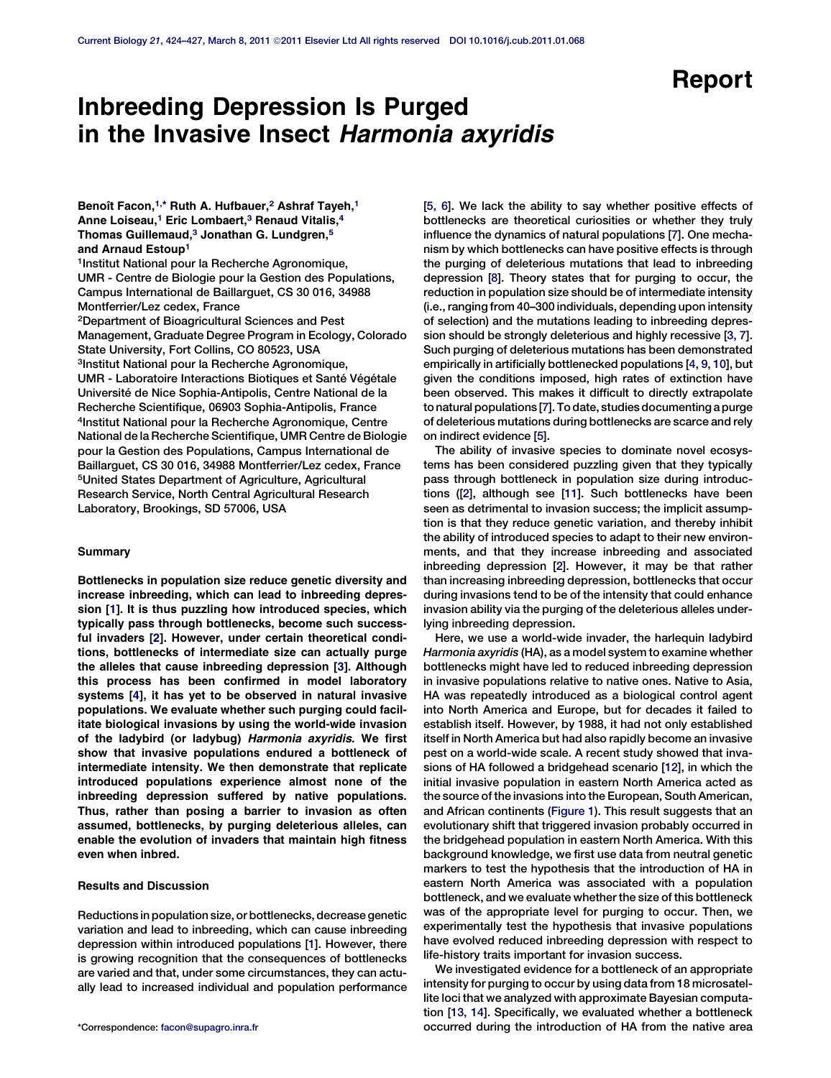## Report

# Inbreeding Depression Is Purged in the Invasive Insect Harmonia axyridis

Benoît Facon,<sup>1,\*</sup> Ruth A. Hufbauer,<sup>2</sup> Ashraf Tayeh,<sup>1</sup> Anne Loiseau,<sup>1</sup> Eric Lombaert,<sup>3</sup> Renaud Vitalis,<sup>4</sup> Thomas Guillemaud, $3$  Jonathan G. Lundgren, $5$ and Arnaud Estoup<sup>1</sup>

1Institut National pour la Recherche Agronomique, UMR - Centre de Biologie pour la Gestion des Populations, Campus International de Baillarguet, CS 30 016, 34988 Montferrier/Lez cedex, France

2Department of Bioagricultural Sciences and Pest Management, Graduate Degree Program in Ecology, Colorado State University, Fort Collins, CO 80523, USA 3Institut National pour la Recherche Agronomique, UMR - Laboratoire Interactions Biotiques et Santé Végétale Université de Nice Sophia-Antipolis, Centre National de la Recherche Scientifique, 06903 Sophia-Antipolis, France 4Institut National pour la Recherche Agronomique, Centre National de la Recherche Scientifique, UMR Centre de Biologie pour la Gestion des Populations, Campus International de Baillarguet, CS 30 016, 34988 Montferrier/Lez cedex, France 5United States Department of Agriculture, Agricultural Research Service, North Central Agricultural Research Laboratory, Brookings, SD 57006, USA

## Summary

Bottlenecks in population size reduce genetic diversity and increase inbreeding, which can lead to inbreeding depression [[1](#page-3-0)]. It is thus puzzling how introduced species, which typically pass through bottlenecks, become such successful invaders [\[2](#page-3-0)]. However, under certain theoretical conditions, bottlenecks of intermediate size can actually purge the alleles that cause inbreeding depression [\[3\]](#page-3-0). Although this process has been confirmed in model laboratory systems [[4](#page-3-0)], it has yet to be observed in natural invasive populations. We evaluate whether such purging could facilitate biological invasions by using the world-wide invasion of the ladybird (or ladybug) Harmonia axyridis. We first show that invasive populations endured a bottleneck of intermediate intensity. We then demonstrate that replicate introduced populations experience almost none of the inbreeding depression suffered by native populations. Thus, rather than posing a barrier to invasion as often assumed, bottlenecks, by purging deleterious alleles, can enable the evolution of invaders that maintain high fitness even when inbred.

## Results and Discussion

Reductions in population size, or bottlenecks, decrease genetic variation and lead to inbreeding, which can cause inbreeding depression within introduced populations [\[1\]](#page-3-0). However, there is growing recognition that the consequences of bottlenecks are varied and that, under some circumstances, they can actually lead to increased individual and population performance

[[5, 6](#page-3-0)]. We lack the ability to say whether positive effects of bottlenecks are theoretical curiosities or whether they truly influence the dynamics of natural populations [[7](#page-3-0)]. One mechanism by which bottlenecks can have positive effects is through the purging of deleterious mutations that lead to inbreeding depression [[8](#page-3-0)]. Theory states that for purging to occur, the reduction in population size should be of intermediate intensity (i.e., ranging from 40–300 individuals, depending upon intensity of selection) and the mutations leading to inbreeding depression should be strongly deleterious and highly recessive [[3, 7\]](#page-3-0). Such purging of deleterious mutations has been demonstrated empirically in artificially bottlenecked populations [\[4, 9, 10](#page-3-0)], but given the conditions imposed, high rates of extinction have been observed. This makes it difficult to directly extrapolate to natural populations[[7](#page-3-0)]. To date, studies documenting a purge of deleterious mutations during bottlenecks are scarce and rely on indirect evidence [[5\]](#page-3-0).

The ability of invasive species to dominate novel ecosystems has been considered puzzling given that they typically pass through bottleneck in population size during introductions ([\[2\]](#page-3-0), although see [\[11](#page-3-0)]. Such bottlenecks have been seen as detrimental to invasion success; the implicit assumption is that they reduce genetic variation, and thereby inhibit the ability of introduced species to adapt to their new environments, and that they increase inbreeding and associated inbreeding depression [[2\]](#page-3-0). However, it may be that rather than increasing inbreeding depression, bottlenecks that occur during invasions tend to be of the intensity that could enhance invasion ability via the purging of the deleterious alleles underlying inbreeding depression.

Here, we use a world-wide invader, the harlequin ladybird Harmonia axyridis (HA), as a model system to examine whether bottlenecks might have led to reduced inbreeding depression in invasive populations relative to native ones. Native to Asia, HA was repeatedly introduced as a biological control agent into North America and Europe, but for decades it failed to establish itself. However, by 1988, it had not only established itself in North America but had also rapidly become an invasive pest on a world-wide scale. A recent study showed that invasions of HA followed a bridgehead scenario [[12](#page-3-0)], in which the initial invasive population in eastern North America acted as the source of the invasions into the European, South American, and African continents [\(Figure 1\)](#page-1-0). This result suggests that an evolutionary shift that triggered invasion probably occurred in the bridgehead population in eastern North America. With this background knowledge, we first use data from neutral genetic markers to test the hypothesis that the introduction of HA in eastern North America was associated with a population bottleneck, and we evaluate whether the size of this bottleneck was of the appropriate level for purging to occur. Then, we experimentally test the hypothesis that invasive populations have evolved reduced inbreeding depression with respect to life-history traits important for invasion success.

We investigated evidence for a bottleneck of an appropriate intensity for purging to occur by using data from 18 microsatellite loci that we analyzed with approximate Bayesian computation [\[13, 14](#page-3-0)]. Specifically, we evaluated whether a bottleneck \*Correspondence: [facon@supagro.inra.fr](mailto:facon@supagro.inra.fr) occurred during the introduction of HA from the native area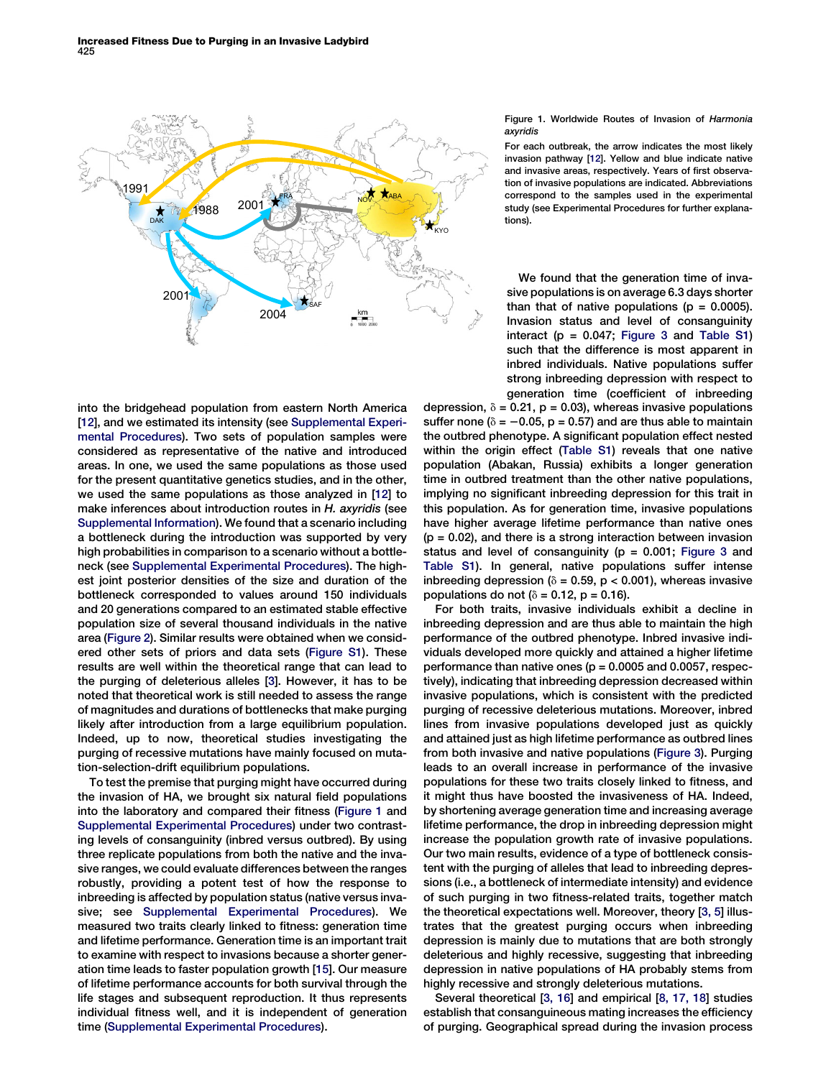<span id="page-1-0"></span>

into the bridgehead population from eastern North America [[12](#page-3-0)], and we estimated its intensity (see [Supplemental Experi](#page-3-0)[mental Procedures](#page-3-0)). Two sets of population samples were considered as representative of the native and introduced areas. In one, we used the same populations as those used for the present quantitative genetics studies, and in the other, we used the same populations as those analyzed in [\[12\]](#page-3-0) to make inferences about introduction routes in H. axyridis (see [Supplemental Information\)](#page-3-0). We found that a scenario including a bottleneck during the introduction was supported by very high probabilities in comparison to a scenario without a bottleneck (see [Supplemental Experimental Procedures](#page-3-0)). The highest joint posterior densities of the size and duration of the bottleneck corresponded to values around 150 individuals and 20 generations compared to an estimated stable effective population size of several thousand individuals in the native area ([Figure 2](#page-2-0)). Similar results were obtained when we considered other sets of priors and data sets [\(Figure S1](#page-3-0)). These results are well within the theoretical range that can lead to the purging of deleterious alleles [[3](#page-3-0)]. However, it has to be noted that theoretical work is still needed to assess the range of magnitudes and durations of bottlenecks that make purging likely after introduction from a large equilibrium population. Indeed, up to now, theoretical studies investigating the purging of recessive mutations have mainly focused on mutation-selection-drift equilibrium populations.

To test the premise that purging might have occurred during the invasion of HA, we brought six natural field populations into the laboratory and compared their fitness (Figure 1 and [Supplemental Experimental Procedures](#page-3-0)) under two contrasting levels of consanguinity (inbred versus outbred). By using three replicate populations from both the native and the invasive ranges, we could evaluate differences between the ranges robustly, providing a potent test of how the response to inbreeding is affected by population status (native versus invasive; see [Supplemental Experimental Procedures](#page-3-0)). We measured two traits clearly linked to fitness: generation time and lifetime performance. Generation time is an important trait to examine with respect to invasions because a shorter generation time leads to faster population growth [\[15\]](#page-3-0). Our measure of lifetime performance accounts for both survival through the life stages and subsequent reproduction. It thus represents individual fitness well, and it is independent of generation time [\(Supplemental Experimental Procedures](#page-3-0)).

Figure 1. Worldwide Routes of Invasion of Harmonia axyridis

For each outbreak, the arrow indicates the most likely invasion pathway [\[12](#page-3-0)]. Yellow and blue indicate native and invasive areas, respectively. Years of first observation of invasive populations are indicated. Abbreviations correspond to the samples used in the experimental study (see Experimental Procedures for further explanations).

We found that the generation time of invasive populations is on average 6.3 days shorter than that of native populations ( $p = 0.0005$ ). Invasion status and level of consanguinity interact ( $p = 0.047$ ; [Figure 3](#page-2-0) and [Table S1](#page-3-0)) such that the difference is most apparent in inbred individuals. Native populations suffer strong inbreeding depression with respect to generation time (coefficient of inbreeding

depression,  $\delta$  = 0.21, p = 0.03), whereas invasive populations suffer none ( $\delta$  = -0.05, p = 0.57) and are thus able to maintain the outbred phenotype. A significant population effect nested within the origin effect [\(Table S1\)](#page-3-0) reveals that one native population (Abakan, Russia) exhibits a longer generation time in outbred treatment than the other native populations, implying no significant inbreeding depression for this trait in this population. As for generation time, invasive populations have higher average lifetime performance than native ones  $(p = 0.02)$ , and there is a strong interaction between invasion status and level of consanguinity ( $p = 0.001$ ; [Figure 3](#page-2-0) and [Table S1](#page-3-0)). In general, native populations suffer intense inbreeding depression ( $\delta$  = 0.59, p < 0.001), whereas invasive populations do not ( $\delta$  = 0.12, p = 0.16).

For both traits, invasive individuals exhibit a decline in inbreeding depression and are thus able to maintain the high performance of the outbred phenotype. Inbred invasive individuals developed more quickly and attained a higher lifetime performance than native ones (p = 0.0005 and 0.0057, respectively), indicating that inbreeding depression decreased within invasive populations, which is consistent with the predicted purging of recessive deleterious mutations. Moreover, inbred lines from invasive populations developed just as quickly and attained just as high lifetime performance as outbred lines from both invasive and native populations ([Figure 3\)](#page-2-0). Purging leads to an overall increase in performance of the invasive populations for these two traits closely linked to fitness, and it might thus have boosted the invasiveness of HA. Indeed, by shortening average generation time and increasing average lifetime performance, the drop in inbreeding depression might increase the population growth rate of invasive populations. Our two main results, evidence of a type of bottleneck consistent with the purging of alleles that lead to inbreeding depressions (i.e., a bottleneck of intermediate intensity) and evidence of such purging in two fitness-related traits, together match the theoretical expectations well. Moreover, theory [\[3, 5](#page-3-0)] illustrates that the greatest purging occurs when inbreeding depression is mainly due to mutations that are both strongly deleterious and highly recessive, suggesting that inbreeding depression in native populations of HA probably stems from highly recessive and strongly deleterious mutations.

Several theoretical [[3, 16](#page-3-0)] and empirical [[8, 17, 18\]](#page-3-0) studies establish that consanguineous mating increases the efficiency of purging. Geographical spread during the invasion process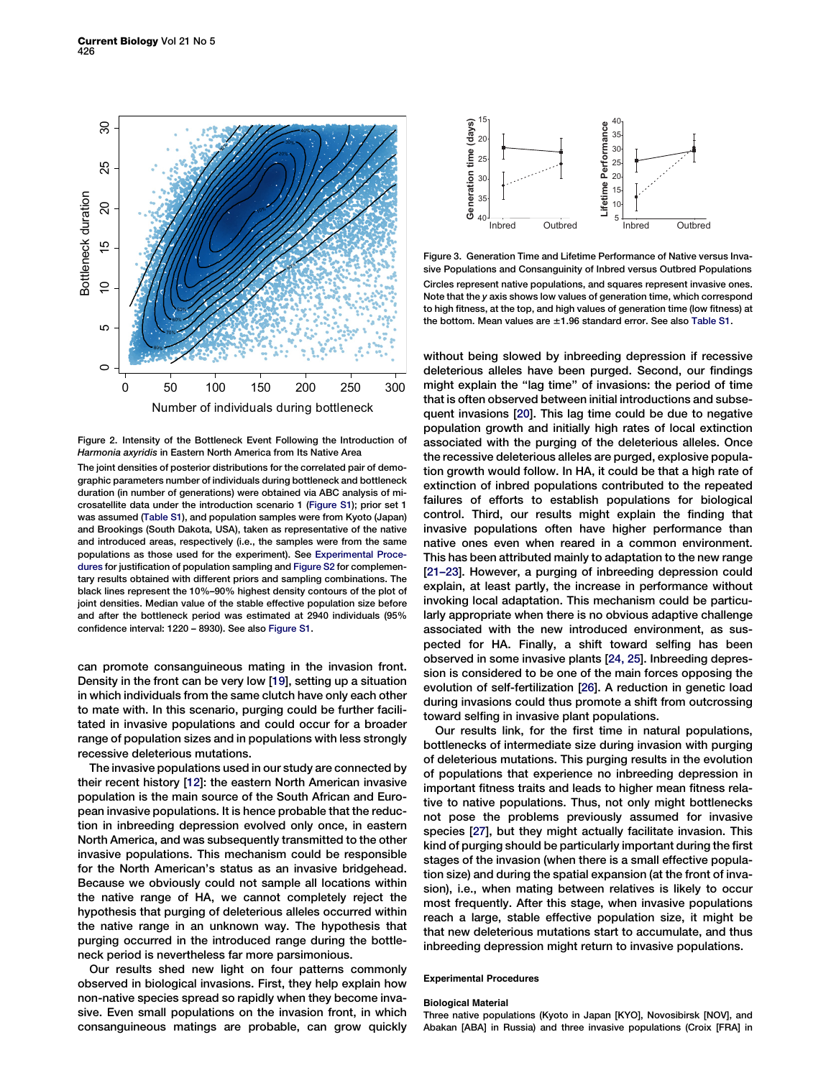<span id="page-2-0"></span>

Figure 2. Intensity of the Bottleneck Event Following the Introduction of Harmonia axyridis in Eastern North America from Its Native Area

The joint densities of posterior distributions for the correlated pair of demographic parameters number of individuals during bottleneck and bottleneck duration (in number of generations) were obtained via ABC analysis of microsatellite data under the introduction scenario 1 [\(Figure S1](#page-3-0)); prior set 1 was assumed [\(Table S1](#page-3-0)), and population samples were from Kyoto (Japan) and Brookings (South Dakota, USA), taken as representative of the native and introduced areas, respectively (i.e., the samples were from the same populations as those used for the experiment). See Experimental Procedures for justification of population sampling and [Figure S2](#page-3-0) for complementary results obtained with different priors and sampling combinations. The black lines represent the 10%–90% highest density contours of the plot of joint densities. Median value of the stable effective population size before and after the bottleneck period was estimated at 2940 individuals (95% confidence interval: 1220 – 8930). See also [Figure S1.](#page-3-0)

can promote consanguineous mating in the invasion front. Density in the front can be very low [[19\]](#page-3-0), setting up a situation in which individuals from the same clutch have only each other to mate with. In this scenario, purging could be further facilitated in invasive populations and could occur for a broader range of population sizes and in populations with less strongly recessive deleterious mutations.

The invasive populations used in our study are connected by their recent history [[12](#page-3-0)]: the eastern North American invasive population is the main source of the South African and European invasive populations. It is hence probable that the reduction in inbreeding depression evolved only once, in eastern North America, and was subsequently transmitted to the other invasive populations. This mechanism could be responsible for the North American's status as an invasive bridgehead. Because we obviously could not sample all locations within the native range of HA, we cannot completely reject the hypothesis that purging of deleterious alleles occurred within the native range in an unknown way. The hypothesis that purging occurred in the introduced range during the bottleneck period is nevertheless far more parsimonious.

Our results shed new light on four patterns commonly observed in biological invasions. First, they help explain how non-native species spread so rapidly when they become invasive. Even small populations on the invasion front, in which consanguineous matings are probable, can grow quickly



Figure 3. Generation Time and Lifetime Performance of Native versus Invasive Populations and Consanguinity of Inbred versus Outbred Populations Circles represent native populations, and squares represent invasive ones. Note that the y axis shows low values of generation time, which correspond to high fitness, at the top, and high values of generation time (low fitness) at the bottom. Mean values are  $\pm 1.96$  standard error. See also [Table S1](#page-3-0).

without being slowed by inbreeding depression if recessive deleterious alleles have been purged. Second, our findings might explain the ''lag time'' of invasions: the period of time that is often observed between initial introductions and subsequent invasions [\[20\]](#page-3-0). This lag time could be due to negative population growth and initially high rates of local extinction associated with the purging of the deleterious alleles. Once the recessive deleterious alleles are purged, explosive population growth would follow. In HA, it could be that a high rate of extinction of inbred populations contributed to the repeated failures of efforts to establish populations for biological control. Third, our results might explain the finding that invasive populations often have higher performance than native ones even when reared in a common environment. This has been attributed mainly to adaptation to the new range [[21–23\]](#page-3-0). However, a purging of inbreeding depression could explain, at least partly, the increase in performance without invoking local adaptation. This mechanism could be particularly appropriate when there is no obvious adaptive challenge associated with the new introduced environment, as suspected for HA. Finally, a shift toward selfing has been observed in some invasive plants [[24, 25\]](#page-3-0). Inbreeding depression is considered to be one of the main forces opposing the evolution of self-fertilization [\[26](#page-3-0)]. A reduction in genetic load during invasions could thus promote a shift from outcrossing toward selfing in invasive plant populations. **E** as <br> **E** as <br> **E** as <br> **E** as <br> **E** as <br> **E** as <br> **E** as <br> **E** as <br> **E** as <br> **E** as <br> **E** as <br> **E** as <br> **E** as <br> **E** as <br> **E** as <br> **E** as <br> **E** as <br> **E** as <br> **E** as <br> **E** as <br> **E** as <br> **E** as <br> **E** as <br> **E** as <br> **E** a

Our results link, for the first time in natural populations, bottlenecks of intermediate size during invasion with purging of deleterious mutations. This purging results in the evolution of populations that experience no inbreeding depression in important fitness traits and leads to higher mean fitness relative to native populations. Thus, not only might bottlenecks not pose the problems previously assumed for invasive species [\[27\]](#page-3-0), but they might actually facilitate invasion. This kind of purging should be particularly important during the first stages of the invasion (when there is a small effective population size) and during the spatial expansion (at the front of invasion), i.e., when mating between relatives is likely to occur most frequently. After this stage, when invasive populations reach a large, stable effective population size, it might be that new deleterious mutations start to accumulate, and thus inbreeding depression might return to invasive populations.

## Experimental Procedures

### Biological Material

Three native populations (Kyoto in Japan [KYO], Novosibirsk [NOV], and